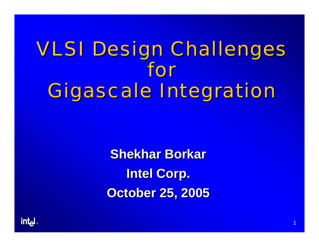# VLSI Design Challenges VLSI Design Challenges for Gigascale Integration

**Shekhar Borkar Intel Corp. Intel Corp. October 25, 2005 October 25, 2005**

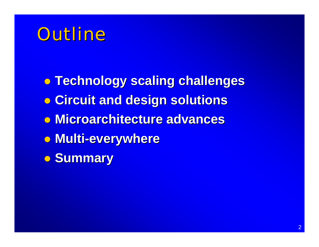### Outline

- z **Technology scaling challenges Technology scaling challenges**
- z **Circuit and design solutions Circuit and design solutions**
- z **Microarchitecture advances Microarchitecture advances**
- z **Multi-everywhere everywhere**
- z **Summary Summary**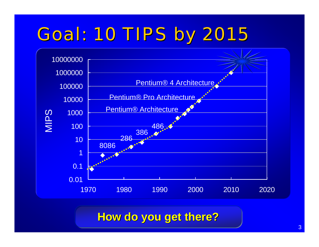# **Goal: 10 TIPS by 2015**



**How do you get there? How do you get there? How do you get there?**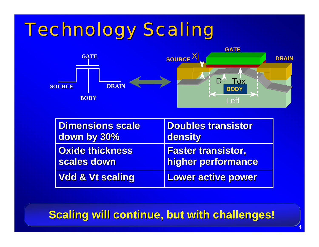## **Technology Scaling**



| <b>Dimensions scale</b>     | <b>Doubles transistor</b> |
|-----------------------------|---------------------------|
| down by 30%                 | density                   |
| <b>Oxide thickness</b>      | <b>Faster transistor,</b> |
| scales down                 | higher performance        |
| <b>Vdd &amp; Vt scaling</b> | <b>Lower active power</b> |

**Scaling will continue, but with challenges!** 

4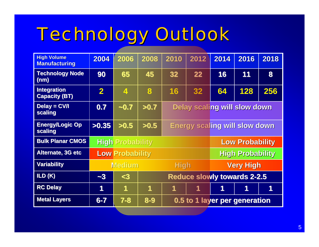# **Technology Outlook**

| <b>High Volume</b><br><b>Manufacturing</b> | 2004                    | 2006           | 2008                               | 2010                                 | 2012                            | 2014 | 2016 | 2018 |
|--------------------------------------------|-------------------------|----------------|------------------------------------|--------------------------------------|---------------------------------|------|------|------|
| <b>Technology Node</b><br>(nm)             | 90                      | 65             | 45                                 | 32                                   | 22                              | 16   | 11   | 8    |
| <b>Integration</b><br><b>Capacity (BT)</b> | $\overline{\mathbf{2}}$ | $\overline{4}$ | 8                                  | 16                                   | 32                              | 64   | 128  | 256  |
| Delay = $CV/I$<br>scaling                  | 0.7                     | $-0.7$         | >0.7                               | Delay scaling will slow down         |                                 |      |      |      |
| <b>Energy/Logic Op</b><br>scaling          | >0.35                   | >0.5           | >0.5                               | <b>Energy scaling will slow down</b> |                                 |      |      |      |
| <b>Bulk Planar CMOS</b>                    | <b>High Probability</b> |                |                                    |                                      | <b>Low Probability</b>          |      |      |      |
| <b>Alternate, 3G etc</b>                   | <b>Low Probability</b>  |                |                                    |                                      | <b>High Probability</b>         |      |      |      |
| <b>Variability</b>                         | <b>Medium</b>           |                |                                    |                                      | <b>High</b><br><b>Very High</b> |      |      |      |
| ILD(K)                                     | $\sim 3$                | $3$            | <b>Reduce slowly towards 2-2.5</b> |                                      |                                 |      |      |      |
| <b>RC Delay</b>                            | 1                       | 1              | 1                                  | 1                                    | 1                               | 1    |      |      |
| <b>Metal Layers</b>                        | $6 - 7$                 | $7 - 8$        | $8 - 9$                            | 0.5 to 1 layer per generation        |                                 |      |      |      |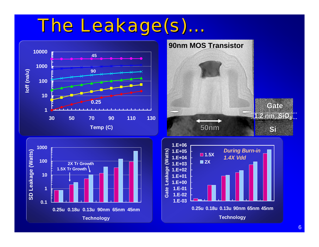### The Leakage(s)...





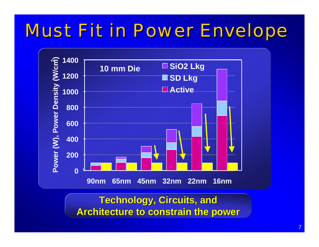### **Must Fit in Power Envelope**



**Technology, Circuits, and Architecture to constrain the power**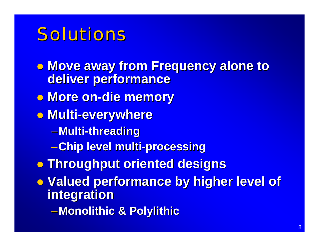### Solutions

**• Move away from Frequency alone to deliver performance deliver performance**

- **0 More on-die memory**
- z **Multi -everywhere everywhere**
	- –**Multi -threading threading**
	- –**Chip level multi Chip level multi -processing processing**
- z **Throughput oriented designs Throughput oriented designs**
- **Valued performance by higher level of integration integration**
	- $-$ **Monolithic & Polylithic**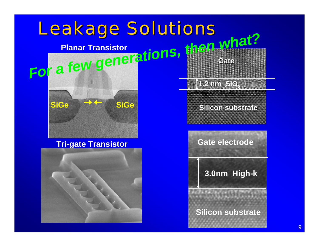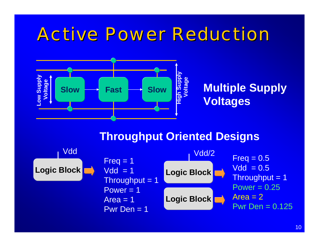### **Active Power Reduction**



### **Throughput Oriented Designs**

![](_page_9_Figure_3.jpeg)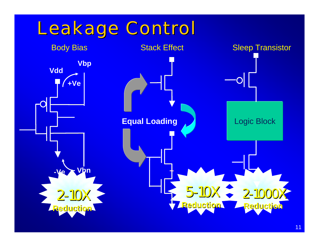![](_page_10_Figure_0.jpeg)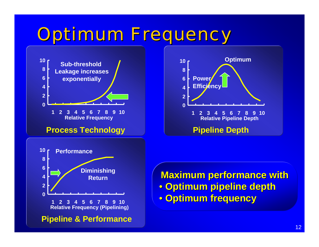### **Optimum Frequency**

![](_page_11_Figure_1.jpeg)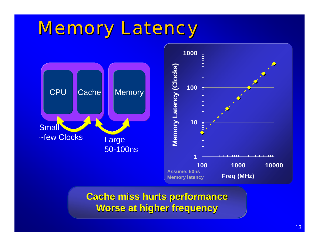### **Memory Latency**

![](_page_12_Figure_1.jpeg)

**Cache miss hurts performance Cache miss hurts performance Cache miss hurts performance Worse at higher frequency Worse at higher frequency Worse at higher frequency**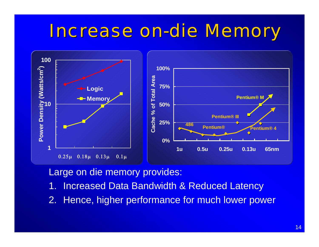#### Increase on -die Memory

![](_page_13_Figure_1.jpeg)

Large on die memory provides:

- 1. Increased Data Bandwidth & Reduced Latency
- 2. Hence, higher performance for much lower power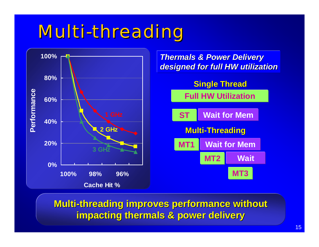### **Multi-threading**

![](_page_14_Figure_1.jpeg)

**Multi-threading improves performance without impacting thermals & power delivery impacting thermals & power delivery**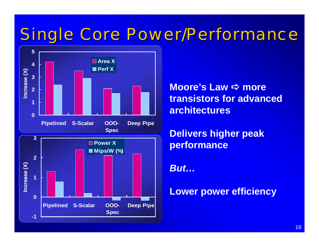### Single Core Power/Performance

![](_page_15_Figure_1.jpeg)

**Moore's Law**  D **more transistors for advanced architectures**

**Delivers higher peak performance**

*But…*

**Lower power efficiency**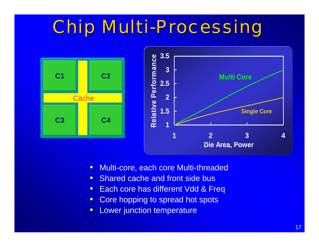### Chip Multi-Processing

![](_page_16_Figure_1.jpeg)

- $\bullet$ Multi-core, each core Multi-threaded
- $\bullet$ • Shared cache and front side bus
- $\bullet$ Each core has different Vdd & Freq
- $\bullet$ Core hopping to spread hot spots
- $\bullet$ Lower junction temperature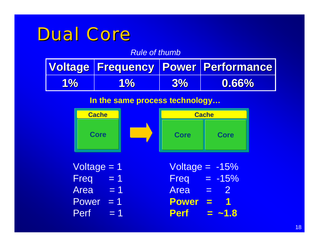### Dual Core

*Rule of thumb*

|       |               |           | Voltage Frequency   Power   Performance |
|-------|---------------|-----------|-----------------------------------------|
| $1\%$ | <b>AP 967</b> | <b>3%</b> | 0.66%                                   |

#### **In the same process technology…**

![](_page_17_Figure_4.jpeg)

Voltage = 1  $Freq = 1$ Area = 1 Power = 1  $Perf = 1$ 

Voltage  $= -15%$ Freq  $= -15%$ Area = 2 **Power = 1 Perf = ~1.8**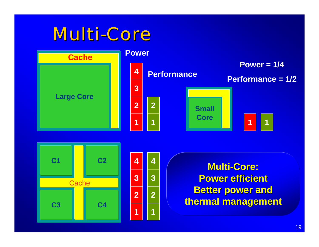### Multi-Core

![](_page_18_Figure_1.jpeg)

![](_page_18_Figure_2.jpeg)

| 4        | 4              |
|----------|----------------|
| 3        | $\overline{3}$ |
| <b>2</b> | 2              |
| 1        | í              |

**Multi-Core: Power efficient Power efficient Better power and thermal management thermal management**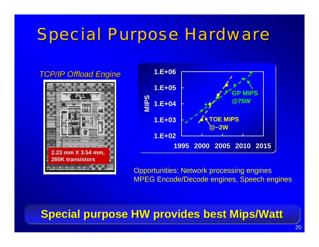### **Special Purpose Hardware**

#### *TCP/IP Offload Engine TCP/IP Offload Engine*

![](_page_19_Picture_2.jpeg)

![](_page_19_Figure_3.jpeg)

Opportunities: Network processing engines MPEG Encode/Decode engines, Speech engines

### **Special purpose HW provides best Mips/Watt**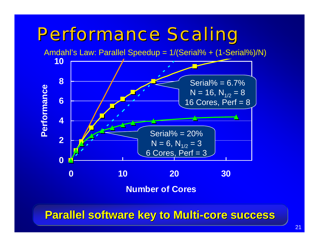### **Performance Scaling**

![](_page_20_Figure_1.jpeg)

**Parallel software key to Multi-core success**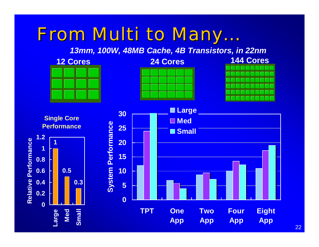#### From Multi to Many. **. . .**

*13mm, 100W, 48MB Cache, 4B Transistors, in 22nm*

![](_page_21_Figure_2.jpeg)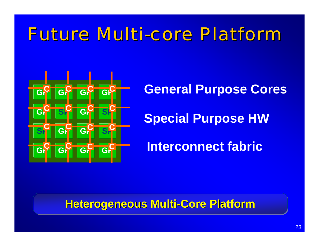### **Future Multi-core Platform**

![](_page_22_Figure_1.jpeg)

# **General Purpose Cores**

### **Special Purpose HW**

### **Interconnect fabric**

### **Heterogeneous Multi-Core Platform**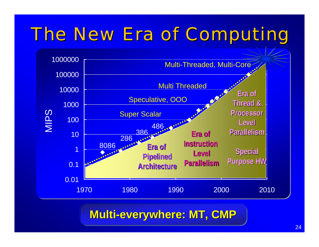### The New Era of Computing

![](_page_23_Figure_1.jpeg)

**Multi-everywhere: MT, CMP**